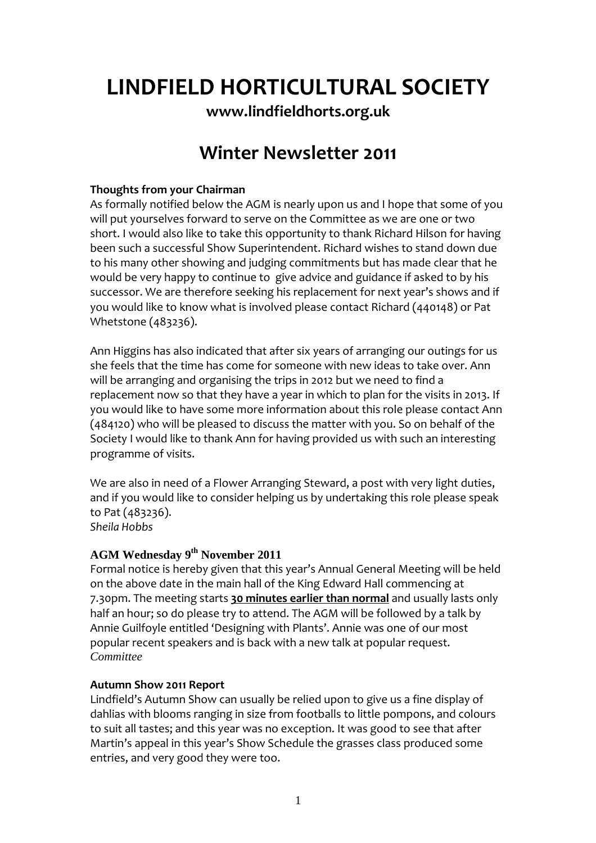# **LINDFIELD HORTICULTURAL SOCIETY**

**[www.lindfieldhorts.org.uk](http://www.lindfieldhorts.org.uk/)**

## **Winter Newsletter 2011**

### **Thoughts from your Chairman**

As formally notified below the AGM is nearly upon us and I hope that some of you will put yourselves forward to serve on the Committee as we are one or two short. I would also like to take this opportunity to thank Richard Hilson for having been such a successful Show Superintendent. Richard wishes to stand down due to his many other showing and judging commitments but has made clear that he would be very happy to continue to give advice and guidance if asked to by his successor. We are therefore seeking his replacement for next year's shows and if you would like to know what is involved please contact Richard (440148) or Pat Whetstone (483236).

Ann Higgins has also indicated that after six years of arranging our outings for us she feels that the time has come for someone with new ideas to take over. Ann will be arranging and organising the trips in 2012 but we need to find a replacement now so that they have a year in which to plan for the visits in 2013. If you would like to have some more information about this role please contact Ann (484120) who will be pleased to discuss the matter with you. So on behalf of the Society I would like to thank Ann for having provided us with such an interesting programme of visits.

We are also in need of a Flower Arranging Steward, a post with very light duties, and if you would like to consider helping us by undertaking this role please speak to Pat (483236). *Sheila Hobbs*

## **AGM Wednesday 9th November 2011**

Formal notice is hereby given that this year's Annual General Meeting will be held on the above date in the main hall of the King Edward Hall commencing at 7.30pm. The meeting starts **30 minutes earlier than normal** and usually lasts only half an hour; so do please try to attend. The AGM will be followed by a talk by Annie Guilfoyle entitled 'Designing with Plants'. Annie was one of our most popular recent speakers and is back with a new talk at popular request. *Committee* 

#### **Autumn Show 2011 Report**

Lindfield's Autumn Show can usually be relied upon to give us a fine display of dahlias with blooms ranging in size from footballs to little pompons, and colours to suit all tastes; and this year was no exception. It was good to see that after Martin's appeal in this year's Show Schedule the grasses class produced some entries, and very good they were too.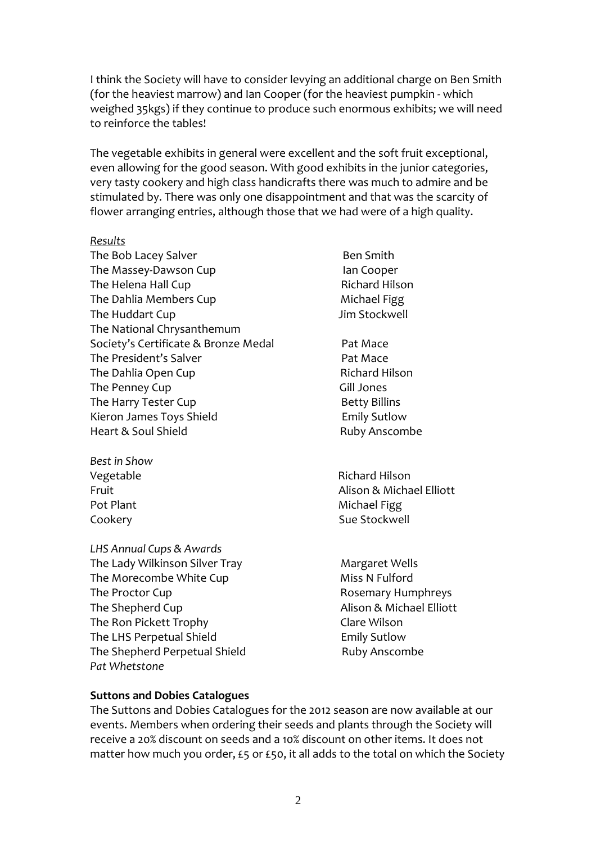I think the Society will have to consider levying an additional charge on Ben Smith (for the heaviest marrow) and Ian Cooper (for the heaviest pumpkin ‐ which weighed 35kgs) if they continue to produce such enormous exhibits; we will need to reinforce the tables!

The vegetable exhibits in general were excellent and the soft fruit exceptional, even allowing for the good season. With good exhibits in the junior categories, very tasty cookery and high class handicrafts there was much to admire and be stimulated by. There was only one disappointment and that was the scarcity of flower arranging entries, although those that we had were of a high quality.

#### *Results*

The Bob Lacey Salver **Business** Ben Smith The Massey‐Dawson Cup Ian Cooper The Helena Hall Cup **Branch** Richard Hilson The Dahlia Members Cup **Michael Figg** The Huddart Cup Jim Stockwell The National Chrysanthemum Society's Certificate & Bronze Medal Pat Mace The President's Salver **The President's Salver** The Dahlia Open Cup **Branch Cup Richard Hilson** The Penney Cup **Same Strategie Strategie Strategie Strategie Strategie Strategie Strategie Strategie Strategie** The Harry Tester Cup **Betty Billins** Kieron James Toys Shield **Emily Sutlow** Heart & Soul Shield **Base Council and Soul Shield** Ruby Anscombe

- *Best in Show*
- *LHS Annual Cups & Awards* The Lady Wilkinson Silver Tray Margaret Wells The Morecombe White Cup Miss N Fulford The Proctor Cup **The Proctor Cup Example 1** Rosemary Humphreys The Shepherd Cup **The Shepherd Cup The Shepherd Cup Alison & Michael Elliott** The Ron Pickett Trophy **State Clare Wilson** The LHS Perpetual Shield **The LHS Perpetual Shield Emily Sutlow** The Shepherd Perpetual Shield **Branch Branch Ruby Anscombe** *Pat Whetstone*
- 
- 
- Vegetable **The Contract of Security Contract Contract Contract Contract Contract Contract Contract Contract Contract Contract Contract Contract Contract Contract Contract Contract Contract Contract Contract Contract Contra** Fruit Alison & Michael Elliott Pot Plant **Department of the Contract Contract Contract Contract Contract Contract Contract Contract Contract Contract Contract Contract Contract Contract Contract Contract Contract Contract Contract Contract Contract Cont** Cookery **Cookery 2008** 
	-

#### **Suttons and Dobies Catalogues**

The Suttons and Dobies Catalogues for the 2012 season are now available at our events. Members when ordering their seeds and plants through the Society will receive a 20% discount on seeds and a 10% discount on other items. It does not matter how much you order, £5 or £50, it all adds to the total on which the Society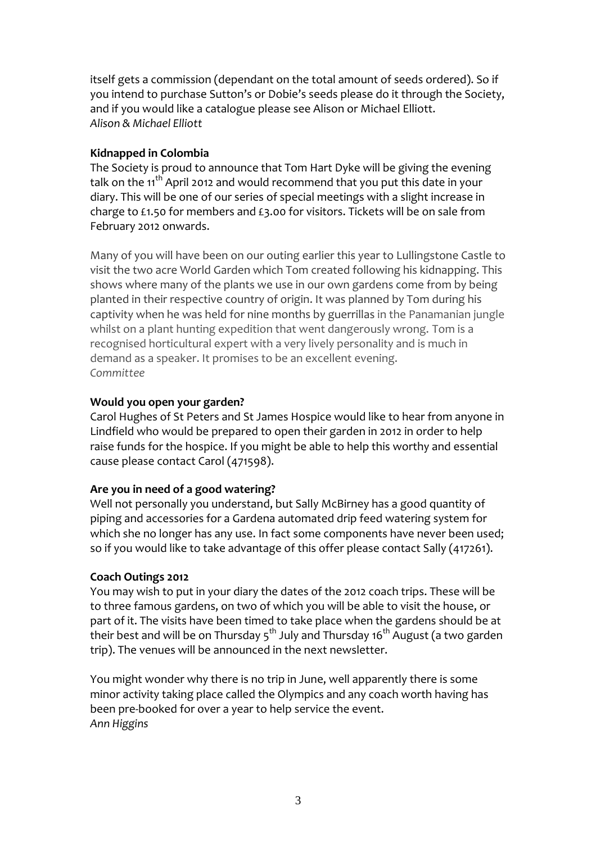itself gets a commission (dependant on the total amount of seeds ordered). So if you intend to purchase Sutton's or Dobie's seeds please do it through the Society, and if you would like a catalogue please see Alison or Michael Elliott. *Alison & Michael Elliott*

### **Kidnapped in Colombia**

The Society is proud to announce that Tom Hart Dyke will be giving the evening talk on the 11<sup>th</sup> April 2012 and would recommend that you put this date in your diary. This will be one of our series of special meetings with a slight increase in charge to £1.50 for members and £3.00 for visitors. Tickets will be on sale from February 2012 onwards.

Many of you will have been on our outing earlier this year to Lullingstone Castle to visit the two acre World Garden which Tom created following his kidnapping. This shows where many of the plants we use in our own gardens come from by being planted in their respective country of origin. It was planned by Tom during his captivity when he was held for nine months by guerrillas in the Panamanian jungle whilst on a plant hunting expedition that went dangerously wrong. Tom is a recognised horticultural expert with a very lively personality and is much in demand as a speaker. It promises to be an excellent evening. *Committee*

#### **Would you open your garden?**

Carol Hughes of St Peters and St James Hospice would like to hear from anyone in Lindfield who would be prepared to open their garden in 2012 in order to help raise funds for the hospice. If you might be able to help this worthy and essential cause please contact Carol (471598).

## **Are you in need of a good watering?**

Well not personally you understand, but Sally McBirney has a good quantity of piping and accessories for a Gardena automated drip feed watering system for which she no longer has any use. In fact some components have never been used; so if you would like to take advantage of this offer please contact Sally (417261).

## **Coach Outings 2012**

You may wish to put in your diary the dates of the 2012 coach trips. These will be to three famous gardens, on two of which you will be able to visit the house, or part of it. The visits have been timed to take place when the gardens should be at their best and will be on Thursday  $5<sup>th</sup>$  July and Thursday 16<sup>th</sup> August (a two garden trip). The venues will be announced in the next newsletter.

You might wonder why there is no trip in June, well apparently there is some minor activity taking place called the Olympics and any coach worth having has been pre‐booked for over a year to help service the event. *Ann Higgins*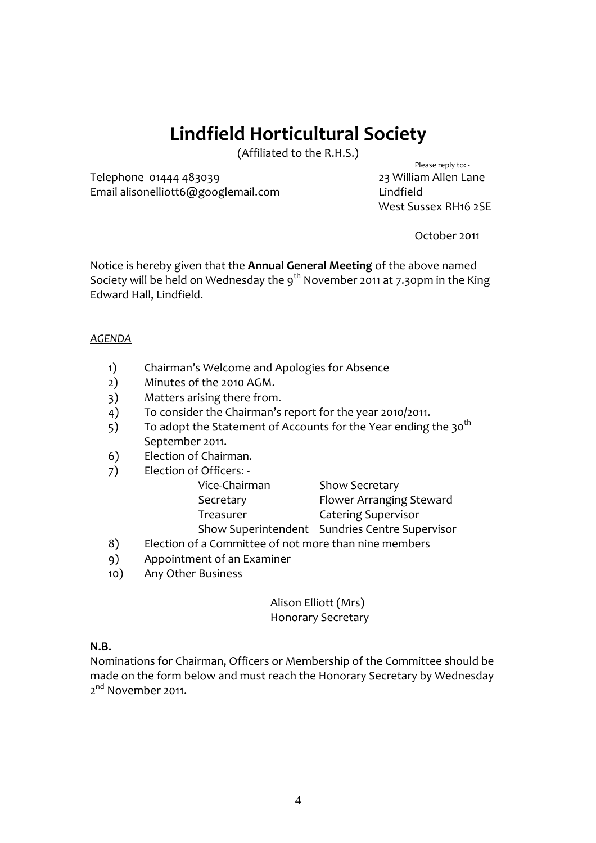## **Lindfield Horticultural Society**

(Affiliated to the R.H.S.) Please reply to: ‐

Telephone 01444 483039 23 William Allen Lane Email alisonelliott6@googlemail.com Lindfield

West Sussex RH16 2SE

October 2011

Notice is hereby given that the **Annual General Meeting** of the above named Society will be held on Wednesday the 9<sup>th</sup> November 2011 at 7.30pm in the King Edward Hall, Lindfield.

#### *AGENDA*

- 1) Chairman's Welcome and Apologies for Absence
- 2) Minutes of the 2010 AGM.
- 3) Matters arising there from.
- 4) To consider the Chairman's report for the year 2010/2011.
- 5) To adopt the Statement of Accounts for the Year ending the 30<sup>th</sup> September 2011.
- 6) Election of Chairman.

| 7)  | Election of Officers: -                               |                                                |
|-----|-------------------------------------------------------|------------------------------------------------|
|     | Vice-Chairman                                         | <b>Show Secretary</b>                          |
|     | Secretary                                             | Flower Arranging Steward                       |
|     | Treasurer                                             | <b>Catering Supervisor</b>                     |
|     |                                                       | Show Superintendent Sundries Centre Supervisor |
| 8)  | Election of a Committee of not more than nine members |                                                |
| 9)  | Appointment of an Examiner                            |                                                |
| 10) | Any Other Business                                    |                                                |
|     |                                                       |                                                |

Alison Elliott (Mrs) Honorary Secretary

#### **N.B.**

Nominations for Chairman, Officers or Membership of the Committee should be made on the form below and must reach the Honorary Secretary by Wednesday  $2^{nd}$  November 2011.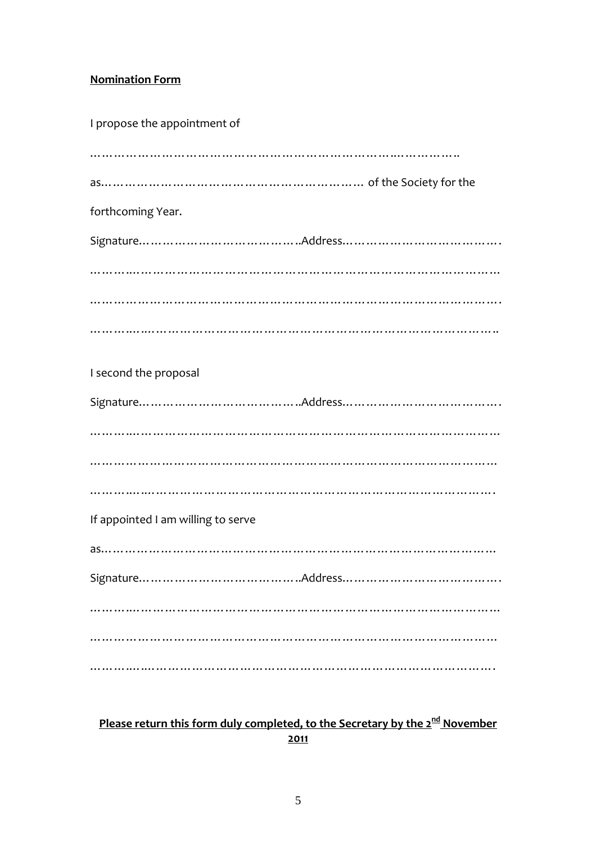## **Nomination Form**

| I propose the appointment of<br>   |
|------------------------------------|
|                                    |
| forthcoming Year.                  |
|                                    |
|                                    |
|                                    |
|                                    |
| I second the proposal              |
|                                    |
|                                    |
|                                    |
|                                    |
| If appointed I am willing to serve |
|                                    |
|                                    |
|                                    |
|                                    |
|                                    |

**Please return this form duly completed, to the Secretary by the 2nd November 2011**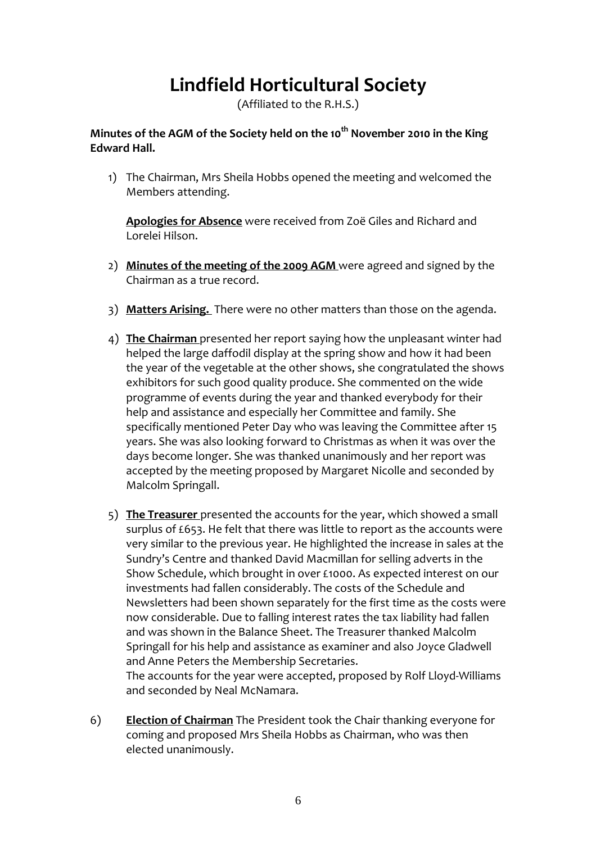# **Lindfield Horticultural Society**

(Affiliated to the R.H.S.)

## **Minutes of the AGM of the Society held on the 10th November 2010 in the King Edward Hall.**

1) The Chairman, Mrs Sheila Hobbs opened the meeting and welcomed the Members attending.

**Apologies for Absence** were received from Zoë Giles and Richard and Lorelei Hilson.

- 2) **Minutes of the meeting of the 2009 AGM** were agreed and signed by the Chairman as a true record.
- 3) **Matters Arising.** There were no other matters than those on the agenda.
- 4) **The Chairman** presented her report saying how the unpleasant winter had helped the large daffodil display at the spring show and how it had been the year of the vegetable at the other shows, she congratulated the shows exhibitors for such good quality produce. She commented on the wide programme of events during the year and thanked everybody for their help and assistance and especially her Committee and family. She specifically mentioned Peter Day who was leaving the Committee after 15 years. She was also looking forward to Christmas as when it was over the days become longer. She was thanked unanimously and her report was accepted by the meeting proposed by Margaret Nicolle and seconded by Malcolm Springall.
- 5) **The Treasurer** presented the accounts for the year, which showed a small surplus of £653. He felt that there was little to report as the accounts were very similar to the previous year. He highlighted the increase in sales at the Sundry's Centre and thanked David Macmillan for selling adverts in the Show Schedule, which brought in over £1000. As expected interest on our investments had fallen considerably. The costs of the Schedule and Newsletters had been shown separately for the first time as the costs were now considerable. Due to falling interest rates the tax liability had fallen and was shown in the Balance Sheet. The Treasurer thanked Malcolm Springall for his help and assistance as examiner and also Joyce Gladwell and Anne Peters the Membership Secretaries. The accounts for the year were accepted, proposed by Rolf Lloyd‐Williams and seconded by Neal McNamara.

6) **Election of Chairman** The President took the Chair thanking everyone for coming and proposed Mrs Sheila Hobbs as Chairman, who was then elected unanimously.